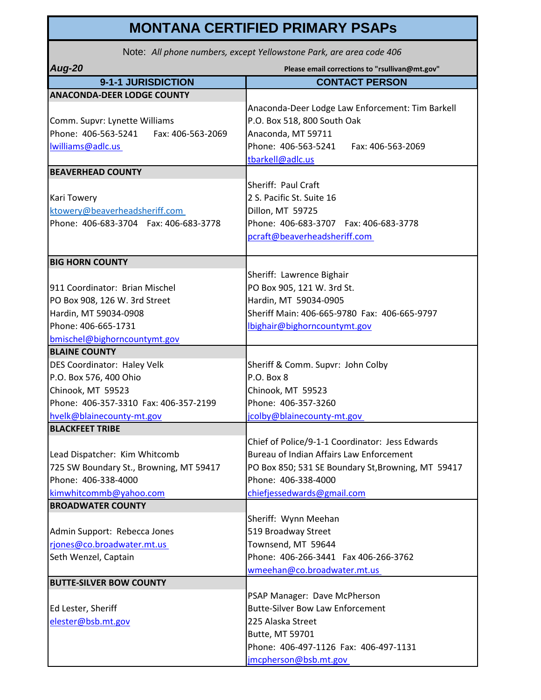## **MONTANA CERTIFIED PRIMARY PSAPs**

Note: *All phone numbers, except Yellowstone Park, are area code 406*

| <b>Aug-20</b>                            | Please email corrections to "rsullivan@mt.gov"     |
|------------------------------------------|----------------------------------------------------|
| 9-1-1 JURISDICTION                       | <b>CONTACT PERSON</b>                              |
| <b>ANACONDA-DEER LODGE COUNTY</b>        |                                                    |
|                                          | Anaconda-Deer Lodge Law Enforcement: Tim Barkell   |
| Comm. Supvr: Lynette Williams            | P.O. Box 518, 800 South Oak                        |
| Phone: 406-563-5241<br>Fax: 406-563-2069 | Anaconda, MT 59711                                 |
| Iwilliams@adlc.us                        | Phone: 406-563-5241<br>Fax: 406-563-2069           |
|                                          | tbarkell@adlc.us                                   |
| <b>BEAVERHEAD COUNTY</b>                 |                                                    |
|                                          | Sheriff: Paul Craft                                |
| <b>Kari Towery</b>                       | 2 S. Pacific St. Suite 16                          |
| ktowery@beaverheadsheriff.com            | Dillon, MT 59725                                   |
| Phone: 406-683-3704  Fax: 406-683-3778   | Phone: 406-683-3707  Fax: 406-683-3778             |
|                                          | pcraft@beaverheadsheriff.com                       |
|                                          |                                                    |
| <b>BIG HORN COUNTY</b>                   |                                                    |
|                                          | Sheriff: Lawrence Bighair                          |
| 911 Coordinator: Brian Mischel           | PO Box 905, 121 W. 3rd St.                         |
| PO Box 908, 126 W. 3rd Street            | Hardin, MT 59034-0905                              |
| Hardin, MT 59034-0908                    | Sheriff Main: 406-665-9780 Fax: 406-665-9797       |
| Phone: 406-665-1731                      | Ibighair@bighorncountymt.gov                       |
| bmischel@bighorncountymt.gov             |                                                    |
| <b>BLAINE COUNTY</b>                     |                                                    |
| DES Coordinator: Haley Velk              | Sheriff & Comm. Supvr: John Colby                  |
| P.O. Box 576, 400 Ohio                   | P.O. Box 8                                         |
| Chinook, MT 59523                        | Chinook, MT 59523                                  |
| Phone: 406-357-3310 Fax: 406-357-2199    | Phone: 406-357-3260                                |
| hvelk@blainecounty-mt.gov                | jcolby@blainecounty-mt.gov                         |
| <b>BLACKFEET TRIBE</b>                   |                                                    |
|                                          | Chief of Police/9-1-1 Coordinator: Jess Edwards    |
| Lead Dispatcher: Kim Whitcomb            | Bureau of Indian Affairs Law Enforcement           |
| 725 SW Boundary St., Browning, MT 59417  | PO Box 850; 531 SE Boundary St, Browning, MT 59417 |
| Phone: 406-338-4000                      | Phone: 406-338-4000                                |
| kimwhitcommb@yahoo.com                   | chiefjessedwards@gmail.com                         |
| <b>BROADWATER COUNTY</b>                 |                                                    |
|                                          | Sheriff: Wynn Meehan                               |
| Admin Support: Rebecca Jones             | 519 Broadway Street                                |
| rjones@co.broadwater.mt.us               | Townsend, MT 59644                                 |
| Seth Wenzel, Captain                     | Phone: 406-266-3441 Fax 406-266-3762               |
|                                          | wmeehan@co.broadwater.mt.us                        |
| <b>BUTTE-SILVER BOW COUNTY</b>           |                                                    |
|                                          | PSAP Manager: Dave McPherson                       |
| Ed Lester, Sheriff                       | <b>Butte-Silver Bow Law Enforcement</b>            |
| elester@bsb.mt.gov                       | 225 Alaska Street                                  |
|                                          | Butte, MT 59701                                    |
|                                          | Phone: 406-497-1126 Fax: 406-497-1131              |
|                                          | jmcpherson@bsb.mt.gov                              |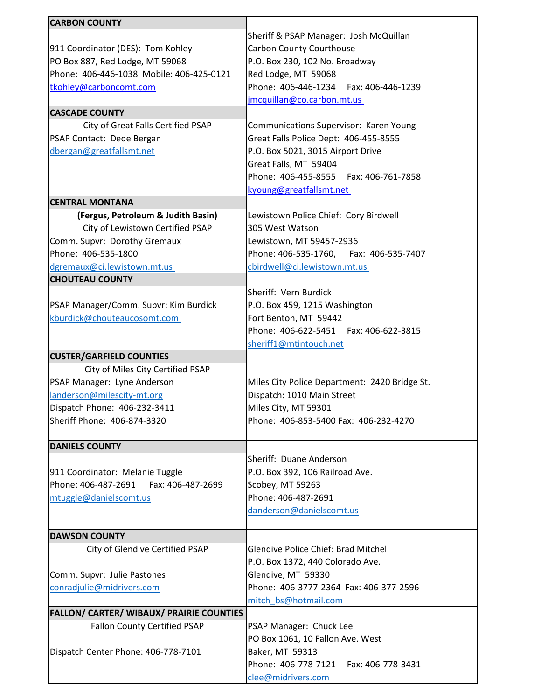| <b>CARBON COUNTY</b>                            |                                               |
|-------------------------------------------------|-----------------------------------------------|
|                                                 |                                               |
|                                                 | Sheriff & PSAP Manager: Josh McQuillan        |
| 911 Coordinator (DES): Tom Kohley               | Carbon County Courthouse                      |
| PO Box 887, Red Lodge, MT 59068                 | P.O. Box 230, 102 No. Broadway                |
| Phone: 406-446-1038 Mobile: 406-425-0121        | Red Lodge, MT 59068                           |
| tkohley@carboncomt.com                          | Phone: 406-446-1234    Fax: 406-446-1239      |
|                                                 | jmcquillan@co.carbon.mt.us                    |
| <b>CASCADE COUNTY</b>                           |                                               |
| City of Great Falls Certified PSAP              | Communications Supervisor: Karen Young        |
| PSAP Contact: Dede Bergan                       | Great Falls Police Dept: 406-455-8555         |
| dbergan@greatfallsmt.net                        | P.O. Box 5021, 3015 Airport Drive             |
|                                                 | Great Falls, MT 59404                         |
|                                                 | Phone: 406-455-8555    Fax: 406-761-7858      |
|                                                 | kyoung@greatfallsmt.net                       |
| <b>CENTRAL MONTANA</b>                          |                                               |
| (Fergus, Petroleum & Judith Basin)              | Lewistown Police Chief: Cory Birdwell         |
| City of Lewistown Certified PSAP                | 305 West Watson                               |
| Comm. Supvr: Dorothy Gremaux                    | Lewistown, MT 59457-2936                      |
| Phone: 406-535-1800                             |                                               |
|                                                 | Phone: 406-535-1760, Fax: 406-535-7407        |
| dgremaux@ci.lewistown.mt.us                     | cbirdwell@ci.lewistown.mt.us                  |
| <b>CHOUTEAU COUNTY</b>                          |                                               |
|                                                 | Sheriff: Vern Burdick                         |
| PSAP Manager/Comm. Supvr: Kim Burdick           | P.O. Box 459, 1215 Washington                 |
| kburdick@chouteaucosomt.com                     | Fort Benton, MT 59442                         |
|                                                 | Phone: 406-622-5451    Fax: 406-622-3815      |
|                                                 | sheriff1@mtintouch.net                        |
| <b>CUSTER/GARFIELD COUNTIES</b>                 |                                               |
| City of Miles City Certified PSAP               |                                               |
| PSAP Manager: Lyne Anderson                     | Miles City Police Department: 2420 Bridge St. |
| landerson@milescity-mt.org                      | Dispatch: 1010 Main Street                    |
| Dispatch Phone: 406-232-3411                    | Miles City, MT 59301                          |
| Sheriff Phone: 406-874-3320                     | Phone: 406-853-5400 Fax: 406-232-4270         |
|                                                 |                                               |
| <b>DANIELS COUNTY</b>                           |                                               |
|                                                 | Sheriff: Duane Anderson                       |
| 911 Coordinator: Melanie Tuggle                 | P.O. Box 392, 106 Railroad Ave.               |
| Phone: 406-487-2691<br>Fax: 406-487-2699        | Scobey, MT 59263                              |
| mtuggle@danielscomt.us                          | Phone: 406-487-2691                           |
|                                                 | danderson@danielscomt.us                      |
|                                                 |                                               |
| <b>DAWSON COUNTY</b>                            |                                               |
| City of Glendive Certified PSAP                 | <b>Glendive Police Chief: Brad Mitchell</b>   |
|                                                 |                                               |
|                                                 | P.O. Box 1372, 440 Colorado Ave.              |
| Comm. Supvr: Julie Pastones                     | Glendive, MT 59330                            |
| conradjulie@midrivers.com                       | Phone: 406-3777-2364 Fax: 406-377-2596        |
|                                                 | mitch bs@hotmail.com                          |
| <b>FALLON/ CARTER/ WIBAUX/ PRAIRIE COUNTIES</b> |                                               |
| <b>Fallon County Certified PSAP</b>             | PSAP Manager: Chuck Lee                       |
|                                                 | PO Box 1061, 10 Fallon Ave. West              |
| Dispatch Center Phone: 406-778-7101             | Baker, MT 59313                               |
|                                                 | Phone: 406-778-7121    Fax: 406-778-3431      |
|                                                 | clee@midrivers.com                            |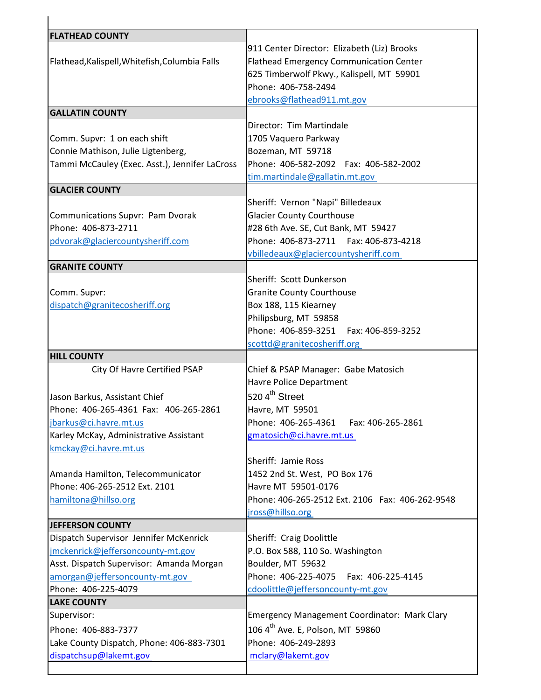| <b>FLATHEAD COUNTY</b>                                                                                                                                                                              |                                                                                                                                                                                                  |
|-----------------------------------------------------------------------------------------------------------------------------------------------------------------------------------------------------|--------------------------------------------------------------------------------------------------------------------------------------------------------------------------------------------------|
| Flathead, Kalispell, Whitefish, Columbia Falls                                                                                                                                                      | 911 Center Director: Elizabeth (Liz) Brooks<br><b>Flathead Emergency Communication Center</b><br>625 Timberwolf Pkwy., Kalispell, MT 59901<br>Phone: 406-758-2494<br>ebrooks@flathead911.mt.gov  |
| <b>GALLATIN COUNTY</b>                                                                                                                                                                              |                                                                                                                                                                                                  |
| Comm. Supvr: 1 on each shift<br>Connie Mathison, Julie Ligtenberg,<br>Tammi McCauley (Exec. Asst.), Jennifer LaCross                                                                                | Director: Tim Martindale<br>1705 Vaquero Parkway<br>Bozeman, MT 59718<br>Phone: 406-582-2092  Fax: 406-582-2002<br>tim.martindale@gallatin.mt.gov                                                |
| <b>GLACIER COUNTY</b>                                                                                                                                                                               |                                                                                                                                                                                                  |
| Communications Supvr: Pam Dvorak<br>Phone: 406-873-2711<br>pdvorak@glaciercountysheriff.com                                                                                                         | Sheriff: Vernon "Napi" Billedeaux<br><b>Glacier County Courthouse</b><br>#28 6th Ave. SE, Cut Bank, MT 59427<br>Phone: 406-873-2711    Fax: 406-873-4218<br>vbilledeaux@glaciercountysheriff.com |
| <b>GRANITE COUNTY</b>                                                                                                                                                                               |                                                                                                                                                                                                  |
| Comm. Supvr:<br>dispatch@granitecosheriff.org                                                                                                                                                       | Sheriff: Scott Dunkerson<br><b>Granite County Courthouse</b><br>Box 188, 115 Kiearney<br>Philipsburg, MT 59858<br>Phone: 406-859-3251    Fax: 406-859-3252<br>scottd@granitecosheriff.org        |
| <b>HILL COUNTY</b>                                                                                                                                                                                  |                                                                                                                                                                                                  |
| City Of Havre Certified PSAP<br>Jason Barkus, Assistant Chief<br>Phone: 406-265-4361 Fax: 406-265-2861<br>jbarkus@ci.havre.mt.us<br>Karley McKay, Administrative Assistant<br>kmckay@ci.havre.mt.us | Chief & PSAP Manager: Gabe Matosich<br>Havre Police Department<br>520 4 <sup>th</sup> Street<br>Havre, MT 59501<br>Phone: 406-265-4361<br>Fax: 406-265-2861<br>gmatosich@ci.havre.mt.us          |
| Amanda Hamilton, Telecommunicator<br>Phone: 406-265-2512 Ext. 2101<br>hamiltona@hillso.org                                                                                                          | Sheriff: Jamie Ross<br>1452 2nd St. West, PO Box 176<br>Havre MT 59501-0176<br>Phone: 406-265-2512 Ext. 2106 Fax: 406-262-9548<br>jross@hillso.org                                               |
| <b>JEFFERSON COUNTY</b>                                                                                                                                                                             |                                                                                                                                                                                                  |
| Dispatch Supervisor Jennifer McKenrick<br>jmckenrick@jeffersoncounty-mt.gov<br>Asst. Dispatch Supervisor: Amanda Morgan<br>amorgan@jeffersoncounty-mt.gov<br>Phone: 406-225-4079                    | Sheriff: Craig Doolittle<br>P.O. Box 588, 110 So. Washington<br>Boulder, MT 59632<br>Phone: 406-225-4075  Fax: 406-225-4145<br>cdoolittle@jeffersoncounty-mt.gov                                 |
| <b>LAKE COUNTY</b>                                                                                                                                                                                  |                                                                                                                                                                                                  |
| Supervisor:<br>Phone: 406-883-7377<br>Lake County Dispatch, Phone: 406-883-7301<br>dispatchsup@lakemt.gov                                                                                           | <b>Emergency Management Coordinator: Mark Clary</b><br>106 4 <sup>th</sup> Ave. E, Polson, MT 59860<br>Phone: 406-249-2893<br>mclary@lakemt.gov                                                  |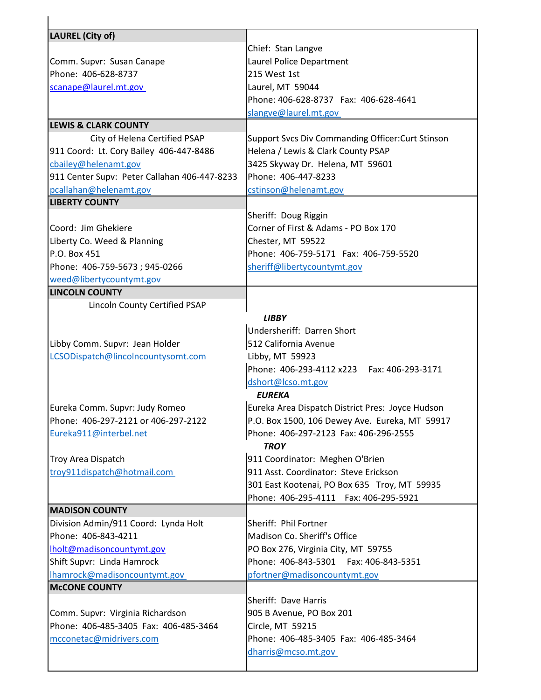| <b>LAUREL (City of)</b>                                                   |                                                   |
|---------------------------------------------------------------------------|---------------------------------------------------|
|                                                                           | Chief: Stan Langve                                |
| Comm. Supvr: Susan Canape                                                 | Laurel Police Department                          |
| Phone: 406-628-8737                                                       | 215 West 1st                                      |
| scanape@laurel.mt.gov                                                     | Laurel, MT 59044                                  |
|                                                                           | Phone: 406-628-8737 Fax: 406-628-4641             |
|                                                                           | slangve@laurel.mt.gov                             |
| <b>LEWIS &amp; CLARK COUNTY</b>                                           |                                                   |
| City of Helena Certified PSAP                                             | Support Svcs Div Commanding Officer: Curt Stinson |
| 911 Coord: Lt. Cory Bailey 406-447-8486                                   | Helena / Lewis & Clark County PSAP                |
| cbailey@helenamt.gov                                                      | 3425 Skyway Dr. Helena, MT 59601                  |
| 911 Center Supv: Peter Callahan 406-447-8233                              | Phone: 406-447-8233                               |
| pcallahan@helenamt.gov                                                    | cstinson@helenamt.gov                             |
| <b>LIBERTY COUNTY</b>                                                     |                                                   |
|                                                                           | Sheriff: Doug Riggin                              |
| Coord: Jim Ghekiere                                                       | Corner of First & Adams - PO Box 170              |
| Liberty Co. Weed & Planning                                               | Chester, MT 59522                                 |
| P.O. Box 451                                                              | Phone: 406-759-5171 Fax: 406-759-5520             |
| Phone: 406-759-5673; 945-0266                                             | sheriff@libertycountymt.gov                       |
| weed@libertycountymt.gov                                                  |                                                   |
| <b>LINCOLN COUNTY</b>                                                     |                                                   |
| Lincoln County Certified PSAP                                             |                                                   |
|                                                                           | <b>LIBBY</b>                                      |
|                                                                           | Undersheriff: Darren Short                        |
| Libby Comm. Supvr: Jean Holder                                            | 512 California Avenue                             |
| LCSODispatch@lincolncountysomt.com                                        | Libby, MT 59923                                   |
|                                                                           | Phone: 406-293-4112 x223    Fax: 406-293-3171     |
|                                                                           | dshort@lcso.mt.gov                                |
|                                                                           | <b>EUREKA</b>                                     |
| Eureka Comm. Supvr: Judy Romeo                                            | Eureka Area Dispatch District Pres: Joyce Hudson  |
| Phone: 406-297-2121 or 406-297-2122                                       | P.O. Box 1500, 106 Dewey Ave. Eureka, MT 59917    |
| Eureka911@interbel.net                                                    | Phone: 406-297-2123 Fax: 406-296-2555             |
|                                                                           | <b>TROY</b>                                       |
| Troy Area Dispatch                                                        | 911 Coordinator: Meghen O'Brien                   |
| troy911dispatch@hotmail.com                                               | 911 Asst. Coordinator: Steve Erickson             |
|                                                                           | 301 East Kootenai, PO Box 635 Troy, MT 59935      |
|                                                                           | Phone: 406-295-4111    Fax: 406-295-5921          |
| <b>MADISON COUNTY</b>                                                     |                                                   |
| Division Admin/911 Coord: Lynda Holt                                      | Sheriff: Phil Fortner                             |
| Phone: 406-843-4211                                                       | Madison Co. Sheriff's Office                      |
| Iholt@madisoncountymt.gov                                                 | PO Box 276, Virginia City, MT 59755               |
| Shift Supvr: Linda Hamrock                                                | Phone: 406-843-5301  Fax: 406-843-5351            |
| Ihamrock@madisoncountymt.gov                                              | pfortner@madisoncountymt.gov                      |
| <b>McCONE COUNTY</b>                                                      |                                                   |
|                                                                           | Sheriff: Dave Harris                              |
| Comm. Supvr: Virginia Richardson<br>Phone: 406-485-3405 Fax: 406-485-3464 | 905 B Avenue, PO Box 201<br>Circle, MT 59215      |
|                                                                           |                                                   |
| mcconetac@midrivers.com                                                   | Phone: 406-485-3405 Fax: 406-485-3464             |
|                                                                           | dharris@mcso.mt.gov                               |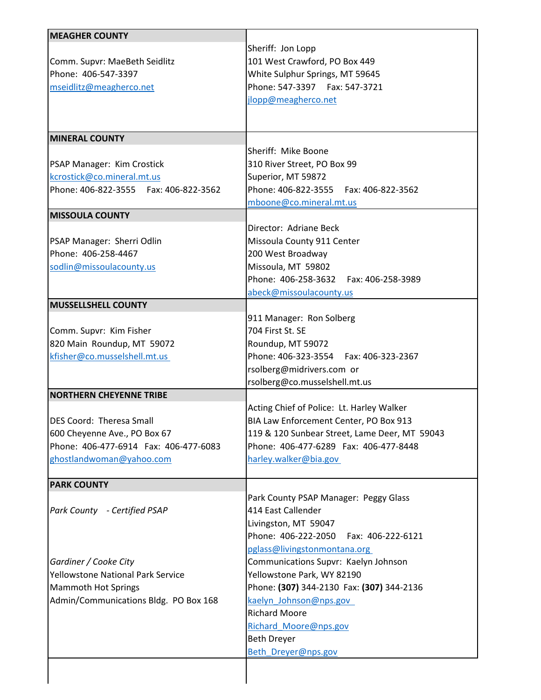| <b>MEAGHER COUNTY</b>                    |                                               |
|------------------------------------------|-----------------------------------------------|
|                                          | Sheriff: Jon Lopp                             |
| Comm. Supvr: MaeBeth Seidlitz            | 101 West Crawford, PO Box 449                 |
| Phone: 406-547-3397                      | White Sulphur Springs, MT 59645               |
| mseidlitz@meagherco.net                  | Phone: 547-3397    Fax: 547-3721              |
|                                          | jlopp@meagherco.net                           |
|                                          |                                               |
|                                          |                                               |
| <b>MINERAL COUNTY</b>                    |                                               |
|                                          | Sheriff: Mike Boone                           |
| PSAP Manager: Kim Crostick               | 310 River Street, PO Box 99                   |
| kcrostick@co.mineral.mt.us               | Superior, MT 59872                            |
| Phone: 406-822-3555    Fax: 406-822-3562 | Phone: 406-822-3555    Fax: 406-822-3562      |
|                                          | mboone@co.mineral.mt.us                       |
| <b>MISSOULA COUNTY</b>                   |                                               |
|                                          | Director: Adriane Beck                        |
| PSAP Manager: Sherri Odlin               | Missoula County 911 Center                    |
| Phone: 406-258-4467                      | 200 West Broadway                             |
| sodlin@missoulacounty.us                 | Missoula, MT 59802                            |
|                                          | Phone: 406-258-3632    Fax: 406-258-3989      |
|                                          | abeck@missoulacounty.us                       |
| <b>MUSSELLSHELL COUNTY</b>               |                                               |
|                                          | 911 Manager: Ron Solberg                      |
| Comm. Supvr: Kim Fisher                  | 704 First St. SE                              |
| 820 Main Roundup, MT 59072               | Roundup, MT 59072                             |
| kfisher@co.musselshell.mt.us             | Phone: 406-323-3554    Fax: 406-323-2367      |
|                                          | rsolberg@midrivers.com or                     |
|                                          | rsolberg@co.musselshell.mt.us                 |
| <b>NORTHERN CHEYENNE TRIBE</b>           |                                               |
|                                          | Acting Chief of Police: Lt. Harley Walker     |
| DES Coord: Theresa Small                 | BIA Law Enforcement Center, PO Box 913        |
| 600 Cheyenne Ave., PO Box 67             | 119 & 120 Sunbear Street, Lame Deer, MT 59043 |
| Phone: 406-477-6914 Fax: 406-477-6083    | Phone: 406-477-6289 Fax: 406-477-8448         |
| ghostlandwoman@yahoo.com                 | harley.walker@bia.gov                         |
| <b>PARK COUNTY</b>                       |                                               |
|                                          | Park County PSAP Manager: Peggy Glass         |
| Park County - Certified PSAP             | 414 East Callender                            |
|                                          | Livingston, MT 59047                          |
|                                          | Phone: 406-222-2050<br>Fax: 406-222-6121      |
|                                          | pglass@livingstonmontana.org                  |
| Gardiner / Cooke City                    | Communications Supvr: Kaelyn Johnson          |
| Yellowstone National Park Service        | Yellowstone Park, WY 82190                    |
| <b>Mammoth Hot Springs</b>               | Phone: (307) 344-2130 Fax: (307) 344-2136     |
| Admin/Communications Bldg. PO Box 168    | kaelyn Johnson@nps.gov                        |
|                                          | <b>Richard Moore</b>                          |
|                                          |                                               |
|                                          | Richard_Moore@nps.gov                         |
|                                          | <b>Beth Dreyer</b>                            |
|                                          | Beth Dreyer@nps.gov                           |
|                                          |                                               |
|                                          |                                               |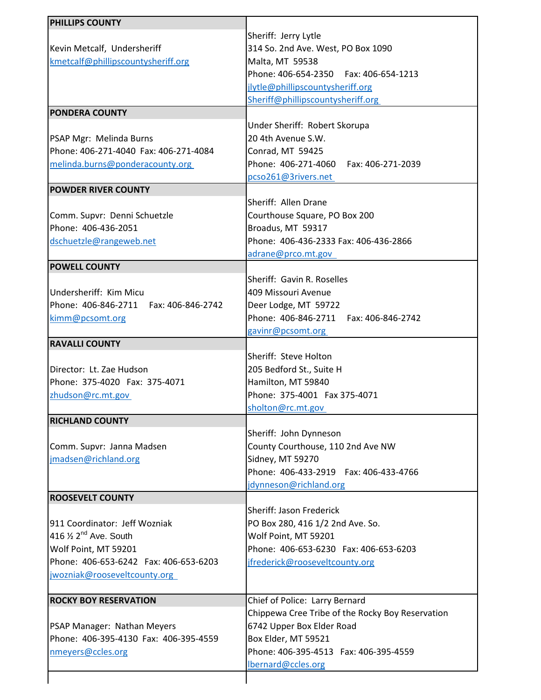| PHILLIPS COUNTY                                                  |                                                  |
|------------------------------------------------------------------|--------------------------------------------------|
|                                                                  | Sheriff: Jerry Lytle                             |
| Kevin Metcalf, Undersheriff                                      | 314 So. 2nd Ave. West, PO Box 1090               |
| kmetcalf@phillipscountysheriff.org                               | Malta, MT 59538                                  |
|                                                                  | Phone: 406-654-2350    Fax: 406-654-1213         |
|                                                                  | jlytle@phillipscountysheriff.org                 |
|                                                                  |                                                  |
| <b>PONDERA COUNTY</b>                                            | Sheriff@phillipscountysheriff.org                |
|                                                                  | Under Sheriff: Robert Skorupa                    |
|                                                                  | 20 4th Avenue S.W.                               |
| PSAP Mgr: Melinda Burns<br>Phone: 406-271-4040 Fax: 406-271-4084 |                                                  |
|                                                                  | Conrad, MT 59425                                 |
| melinda.burns@ponderacounty.org                                  | Phone: 406-271-4060    Fax: 406-271-2039         |
|                                                                  | pcso261@3rivers.net                              |
| <b>POWDER RIVER COUNTY</b>                                       |                                                  |
|                                                                  | Sheriff: Allen Drane                             |
| Comm. Supvr: Denni Schuetzle                                     | Courthouse Square, PO Box 200                    |
| Phone: 406-436-2051                                              | Broadus, MT 59317                                |
| dschuetzle@rangeweb.net                                          | Phone: 406-436-2333 Fax: 406-436-2866            |
|                                                                  | adrane@prco.mt.gov                               |
| <b>POWELL COUNTY</b>                                             |                                                  |
|                                                                  | Sheriff: Gavin R. Roselles                       |
| Undersheriff: Kim Micu                                           | 409 Missouri Avenue                              |
| Phone: 406-846-2711    Fax: 406-846-2742                         | Deer Lodge, MT 59722                             |
| kimm@pcsomt.org                                                  | Phone: 406-846-2711    Fax: 406-846-2742         |
|                                                                  | gavinr@pcsomt.org                                |
| <b>RAVALLI COUNTY</b>                                            |                                                  |
|                                                                  | Sheriff: Steve Holton                            |
| Director: Lt. Zae Hudson                                         | 205 Bedford St., Suite H                         |
| Phone: 375-4020 Fax: 375-4071                                    | Hamilton, MT 59840                               |
| zhudson@rc.mt.gov                                                | Phone: 375-4001 Fax 375-4071                     |
|                                                                  | sholton@rc.mt.gov                                |
| <b>RICHLAND COUNTY</b>                                           |                                                  |
|                                                                  | Sheriff: John Dynneson                           |
| Comm. Supvr: Janna Madsen                                        | County Courthouse, 110 2nd Ave NW                |
| jmadsen@richland.org                                             | Sidney, MT 59270                                 |
|                                                                  | Phone: 406-433-2919  Fax: 406-433-4766           |
|                                                                  | jdynneson@richland.org                           |
| <b>ROOSEVELT COUNTY</b>                                          |                                                  |
|                                                                  | Sheriff: Jason Frederick                         |
| 911 Coordinator: Jeff Wozniak                                    | PO Box 280, 416 1/2 2nd Ave. So.                 |
| 416 $\frac{1}{2}$ 2 <sup>nd</sup> Ave. South                     | Wolf Point, MT 59201                             |
| Wolf Point, MT 59201                                             | Phone: 406-653-6230 Fax: 406-653-6203            |
| Phone: 406-653-6242 Fax: 406-653-6203                            | jfrederick@rooseveltcounty.org                   |
| jwozniak@rooseveltcounty.org                                     |                                                  |
| <b>ROCKY BOY RESERVATION</b>                                     | Chief of Police: Larry Bernard                   |
|                                                                  | Chippewa Cree Tribe of the Rocky Boy Reservation |
| PSAP Manager: Nathan Meyers                                      | 6742 Upper Box Elder Road                        |
| Phone: 406-395-4130 Fax: 406-395-4559                            | Box Elder, MT 59521                              |
| nmeyers@ccles.org                                                | Phone: 406-395-4513  Fax: 406-395-4559           |
|                                                                  | lbernard@ccles.org                               |
|                                                                  |                                                  |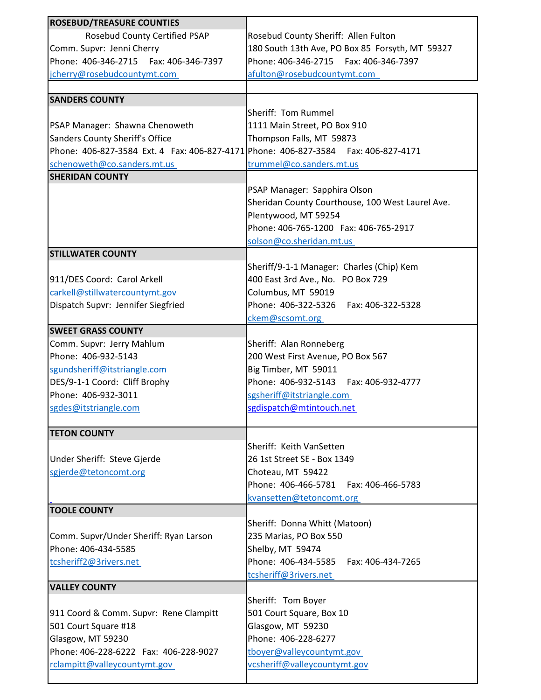| <b>ROSEBUD/TREASURE COUNTIES</b>                                                   |                                                  |
|------------------------------------------------------------------------------------|--------------------------------------------------|
|                                                                                    |                                                  |
| Rosebud County Certified PSAP                                                      | Rosebud County Sheriff: Allen Fulton             |
| Comm. Supvr: Jenni Cherry                                                          | 180 South 13th Ave, PO Box 85 Forsyth, MT 59327  |
| Phone: 406-346-2715  Fax: 406-346-7397                                             | Phone: 406-346-2715    Fax: 406-346-7397         |
| jcherry@rosebudcountymt.com                                                        | afulton@rosebudcountymt.com                      |
|                                                                                    |                                                  |
| <b>SANDERS COUNTY</b>                                                              |                                                  |
|                                                                                    | Sheriff: Tom Rummel                              |
| PSAP Manager: Shawna Chenoweth                                                     | 1111 Main Street, PO Box 910                     |
| Sanders County Sheriff's Office                                                    | Thompson Falls, MT 59873                         |
| Phone: 406-827-3584 Ext. 4 Fax: 406-827-4171 Phone: 406-827-3584 Fax: 406-827-4171 |                                                  |
|                                                                                    |                                                  |
| schenoweth@co.sanders.mt.us                                                        | trummel@co.sanders.mt.us                         |
| <b>SHERIDAN COUNTY</b>                                                             |                                                  |
|                                                                                    | PSAP Manager: Sapphira Olson                     |
|                                                                                    | Sheridan County Courthouse, 100 West Laurel Ave. |
|                                                                                    | Plentywood, MT 59254                             |
|                                                                                    | Phone: 406-765-1200 Fax: 406-765-2917            |
|                                                                                    | solson@co.sheridan.mt.us                         |
| <b>STILLWATER COUNTY</b>                                                           |                                                  |
|                                                                                    | Sheriff/9-1-1 Manager: Charles (Chip) Kem        |
| 911/DES Coord: Carol Arkell                                                        | 400 East 3rd Ave., No. PO Box 729                |
| carkell@stillwatercountymt.gov                                                     | Columbus, MT 59019                               |
|                                                                                    | Phone: 406-322-5326    Fax: 406-322-5328         |
| Dispatch Supvr: Jennifer Siegfried                                                 |                                                  |
|                                                                                    | ckem@scsomt.org                                  |
| <b>SWEET GRASS COUNTY</b>                                                          |                                                  |
| Comm. Supvr: Jerry Mahlum                                                          | Sheriff: Alan Ronneberg                          |
| Phone: 406-932-5143                                                                | 200 West First Avenue, PO Box 567                |
| sgundsheriff@itstriangle.com                                                       | Big Timber, MT 59011                             |
| DES/9-1-1 Coord: Cliff Brophy                                                      | Phone: 406-932-5143    Fax: 406-932-4777         |
| Phone: 406-932-3011                                                                | sgsheriff@itstriangle.com                        |
| sgdes@itstriangle.com                                                              | sgdispatch@mtintouch.net                         |
|                                                                                    |                                                  |
| <b>TETON COUNTY</b>                                                                |                                                  |
|                                                                                    | Sheriff: Keith VanSetten                         |
|                                                                                    | 26 1st Street SE - Box 1349                      |
| Under Sheriff: Steve Gjerde                                                        |                                                  |
| sgjerde@tetoncomt.org                                                              | Choteau, MT 59422                                |
|                                                                                    | Phone: 406-466-5781<br>Fax: 406-466-5783         |
|                                                                                    | kvansetten@tetoncomt.org                         |
| <b>TOOLE COUNTY</b>                                                                |                                                  |
|                                                                                    | Sheriff: Donna Whitt (Matoon)                    |
| Comm. Supvr/Under Sheriff: Ryan Larson                                             | 235 Marias, PO Box 550                           |
| Phone: 406-434-5585                                                                | Shelby, MT 59474                                 |
| tcsheriff2@3rivers.net                                                             | Phone: 406-434-5585<br>Fax: 406-434-7265         |
|                                                                                    | tcsheriff@3rivers.net                            |
| <b>VALLEY COUNTY</b>                                                               |                                                  |
|                                                                                    | Sheriff: Tom Boyer                               |
|                                                                                    |                                                  |
| 911 Coord & Comm. Supvr: Rene Clampitt                                             | 501 Court Square, Box 10                         |
| 501 Court Square #18                                                               | Glasgow, MT 59230                                |
| Glasgow, MT 59230                                                                  | Phone: 406-228-6277                              |
| Phone: 406-228-6222 Fax: 406-228-9027                                              | tboyer@valleycountymt.gov                        |
| rclampitt@valleycountymt.gov                                                       | vcsheriff@valleycountymt.gov                     |
|                                                                                    |                                                  |